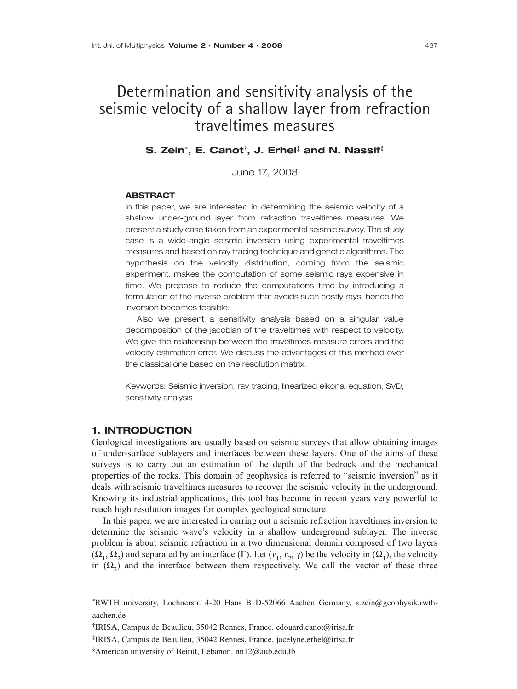# Determination and sensitivity analysis of the seismic velocity of a shallow layer from refraction traveltimes measures

# **S. Zein**<sup>∗</sup>**, E. Canot†, J. Erhel‡ and N. Nassif§**

June 17, 2008

#### **ABSTRACT**

In this paper, we are interested in determining the seismic velocity of a shallow under-ground layer from refraction traveltimes measures. We present a study case taken from an experimental seismic survey. The study case is a wide-angle seismic inversion using experimental traveltimes measures and based on ray tracing technique and genetic algorithms. The hypothesis on the velocity distribution, coming from the seismic experiment, makes the computation of some seismic rays expensive in time. We propose to reduce the computations time by introducing a formulation of the inverse problem that avoids such costly rays, hence the inversion becomes feasible.

Also we present a sensitivity analysis based on a singular value decomposition of the jacobian of the traveltimes with respect to velocity. We give the relationship between the traveltimes measure errors and the velocity estimation error. We discuss the advantages of this method over the classical one based on the resolution matrix.

Keywords: Seismic inversion, ray tracing, linearized eikonal equation, SVD, sensitivity analysis

## **1. INTRODUCTION**

Geological investigations are usually based on seismic surveys that allow obtaining images of under-surface sublayers and interfaces between these layers. One of the aims of these surveys is to carry out an estimation of the depth of the bedrock and the mechanical properties of the rocks. This domain of geophysics is referred to "seismic inversion" as it deals with seismic traveltimes measures to recover the seismic velocity in the underground. Knowing its industrial applications, this tool has become in recent years very powerful to reach high resolution images for complex geological structure.

In this paper, we are interested in carring out a seismic refraction traveltimes inversion to determine the seismic wave's velocity in a shallow underground sublayer. The inverse problem is about seismic refraction in a two dimensional domain composed of two layers  $(\Omega_1, \Omega_2)$  and separated by an interface (Γ). Let  $(v_1, v_2, \gamma)$  be the velocity in  $(\Omega_1)$ , the velocity in  $(\Omega_2)$  and the interface between them respectively. We call the vector of these three

†IRISA, Campus de Beaulieu, 35042 Rennes, France. edouard.canot@irisa.fr

‡IRISA, Campus de Beaulieu, 35042 Rennes, France. jocelyne.erhel@irisa.fr

<sup>\*</sup>RWTH university, Lochnerstr. 4-20 Haus B D-52066 Aachen Germany, s.zein@geophysik.rwthaachen.de

<sup>§</sup>American university of Beirut, Lebanon. nn12@aub.edu.lb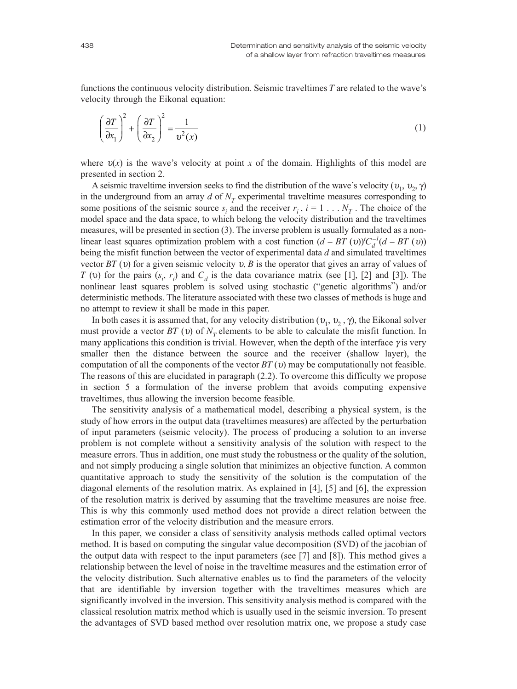functions the continuous velocity distribution. Seismic traveltimes *T* are related to the wave's velocity through the Eikonal equation:

$$
\left(\frac{\partial T}{\partial x_1}\right)^2 + \left(\frac{\partial T}{\partial x_2}\right)^2 = \frac{1}{v^2(x)}\tag{1}
$$

where  $v(x)$  is the wave's velocity at point x of the domain. Highlights of this model are presented in section 2.

A seismic traveltime inversion seeks to find the distribution of the wave's velocity  $(v_1, v_2, \gamma)$ in the underground from an array  $d$  of  $N_T$  experimental traveltime measures corresponding to some positions of the seismic source  $s_i$  and the receiver  $r_i$ ,  $i = 1 \ldots N_T$ . The choice of the model space and the data space, to which belong the velocity distribution and the traveltimes measures, will be presented in section (3). The inverse problem is usually formulated as a nonlinear least squares optimization problem with a cost function  $(d - BT (v))'C_d^{-1}(d - BT (v))$ being the misfit function between the vector of experimental data *d* and simulated traveltimes vector  $BT(v)$  for a given seismic velocity  $v, B$  is the operator that gives an array of values of *T* (*v*) for the pairs  $(s_i, r_i)$  and  $C_d$  is the data covariance matrix (see [1], [2] and [3]). The nonlinear least squares problem is solved using stochastic ("genetic algorithms") and/or deterministic methods. The literature associated with these two classes of methods is huge and no attempt to review it shall be made in this paper.

In both cases it is assumed that, for any velocity distribution  $(v_1, v_2, \gamma)$ , the Eikonal solver must provide a vector  $BT(v)$  of  $N<sub>T</sub>$  elements to be able to calculate the misfit function. In many applications this condition is trivial. However, when the depth of the interface  $\gamma$  is very smaller then the distance between the source and the receiver (shallow layer), the computation of all the components of the vector *BT* (υ) may be computationally not feasible. The reasons of this are elucidated in paragraph (2.2). To overcome this difficulty we propose in section 5 a formulation of the inverse problem that avoids computing expensive traveltimes, thus allowing the inversion become feasible.

The sensitivity analysis of a mathematical model, describing a physical system, is the study of how errors in the output data (traveltimes measures) are affected by the perturbation of input parameters (seismic velocity). The process of producing a solution to an inverse problem is not complete without a sensitivity analysis of the solution with respect to the measure errors. Thus in addition, one must study the robustness or the quality of the solution, and not simply producing a single solution that minimizes an objective function. A common quantitative approach to study the sensitivity of the solution is the computation of the diagonal elements of the resolution matrix. As explained in [4], [5] and [6], the expression of the resolution matrix is derived by assuming that the traveltime measures are noise free. This is why this commonly used method does not provide a direct relation between the estimation error of the velocity distribution and the measure errors.

In this paper, we consider a class of sensitivity analysis methods called optimal vectors method. It is based on computing the singular value decomposition (SVD) of the jacobian of the output data with respect to the input parameters (see [7] and [8]). This method gives a relationship between the level of noise in the traveltime measures and the estimation error of the velocity distribution. Such alternative enables us to find the parameters of the velocity that are identifiable by inversion together with the traveltimes measures which are significantly involved in the inversion. This sensitivity analysis method is compared with the classical resolution matrix method which is usually used in the seismic inversion. To present the advantages of SVD based method over resolution matrix one, we propose a study case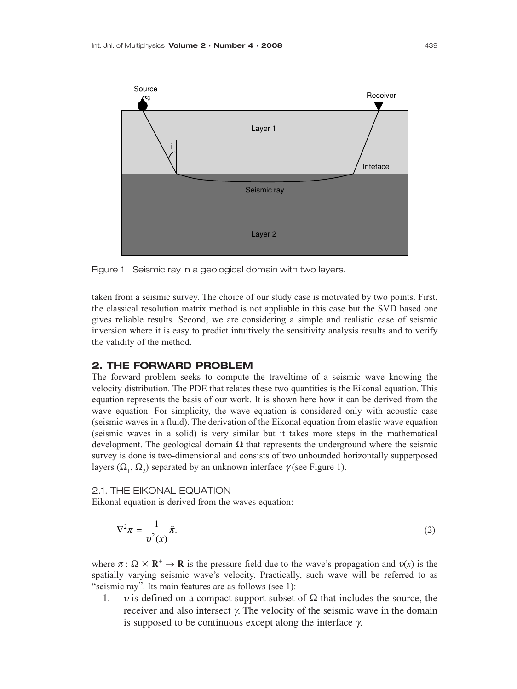

Figure 1 Seismic ray in a geological domain with two layers.

taken from a seismic survey. The choice of our study case is motivated by two points. First, the classical resolution matrix method is not appliable in this case but the SVD based one gives reliable results. Second, we are considering a simple and realistic case of seismic inversion where it is easy to predict intuitively the sensitivity analysis results and to verify the validity of the method.

## **2. THE FORWARD PROBLEM**

The forward problem seeks to compute the traveltime of a seismic wave knowing the velocity distribution. The PDE that relates these two quantities is the Eikonal equation. This equation represents the basis of our work. It is shown here how it can be derived from the wave equation. For simplicity, the wave equation is considered only with acoustic case (seismic waves in a fluid). The derivation of the Eikonal equation from elastic wave equation (seismic waves in a solid) is very similar but it takes more steps in the mathematical development. The geological domain  $\Omega$  that represents the underground where the seismic survey is done is two-dimensional and consists of two unbounded horizontally supperposed layers ( $\Omega_1$ ,  $\Omega_2$ ) separated by an unknown interface γ (see Figure 1).

2.1. THE EIKONAL EQUATION

Eikonal equation is derived from the waves equation:

$$
\nabla^2 \pi = \frac{1}{v^2(x)} \ddot{\pi}.
$$
 (2)

where  $\pi : \Omega \times \mathbb{R}^+ \to \mathbb{R}$  is the pressure field due to the wave's propagation and  $v(x)$  is the spatially varying seismic wave's velocity. Practically, such wave will be referred to as "seismic ray". Its main features are as follows (see 1):

1. v is defined on a compact support subset of  $\Omega$  that includes the source, the receiver and also intersect  $γ$ . The velocity of the seismic wave in the domain is supposed to be continuous except along the interface γ.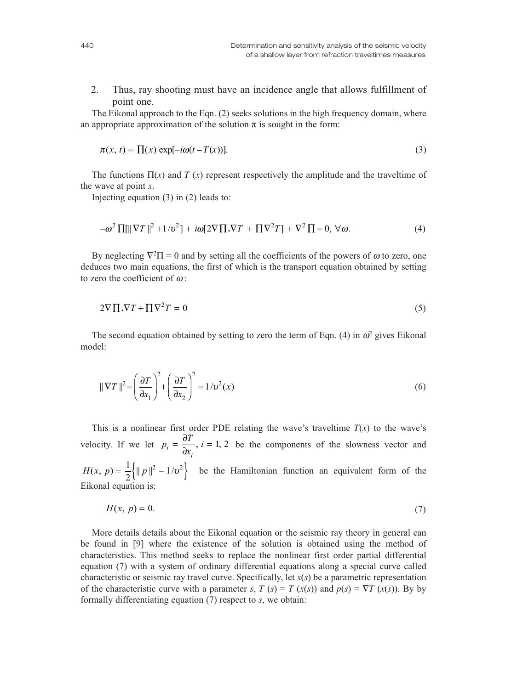2. Thus, ray shooting must have an incidence angle that allows fulfillment of point one.

The Eikonal approach to the Eqn. (2) seeks solutions in the high frequency domain, where an appropriate approximation of the solution  $\pi$  is sought in the form:

$$
\pi(x, t) = \prod(x) \exp[-i\omega(t - T(x))]. \tag{3}
$$

The functions  $\Pi(x)$  and *T* (*x*) represent respectively the amplitude and the traveltime of the wave at point *x*.

Injecting equation (3) in (2) leads to:

$$
-\omega^2 \prod[\|\nabla T\|^2 + 1/\nu^2] + i\omega[2\nabla \prod \nabla T + \prod \nabla^2 T] + \nabla^2 \prod = 0, \,\forall \omega. \tag{4}
$$

By neglecting  $\nabla^2\Pi = 0$  and by setting all the coefficients of the powers of  $\omega$  to zero, one deduces two main equations, the first of which is the transport equation obtained by setting to zero the coefficient of  $\omega$ :

$$
2\nabla \prod \cdot \nabla T + \prod \nabla^2 T = 0 \tag{5}
$$

The second equation obtained by setting to zero the term of Eqn. (4) in  $\omega^2$  gives Eikonal model:

$$
\|\nabla T\|^2 = \left(\frac{\partial T}{\partial x_1}\right)^2 + \left(\frac{\partial T}{\partial x_2}\right)^2 = 1/v^2(x)
$$
\n(6)

This is a nonlinear first order PDE relating the wave's traveltime  $T(x)$  to the wave's velocity. If we let  $p_i = \frac{\partial T}{\partial x_i}$ ,  $i = 1, 2$  be the components of the slowness vector and  $H(x, p) = \frac{1}{2} \left\{ ||p||^2 - 1/v^2 \right\}$  be the Hamiltonian function an equivalent form of the Eikonal equation is:  $i = \frac{\partial I}{\partial x_i}, i$  $=\frac{\partial T}{\partial x_i}, i=1,2$ 

$$
H(x, p) = 0.\tag{7}
$$

More details details about the Eikonal equation or the seismic ray theory in general can be found in [9] where the existence of the solution is obtained using the method of characteristics. This method seeks to replace the nonlinear first order partial differential equation (7) with a system of ordinary differential equations along a special curve called characteristic or seismic ray travel curve. Specifically, let *x*(*s*) be a parametric representation of the characteristic curve with a parameter *s*,  $T(s) = T(x(s))$  and  $p(s) = \nabla T(x(s))$ . By by formally differentiating equation (7) respect to *s*, we obtain: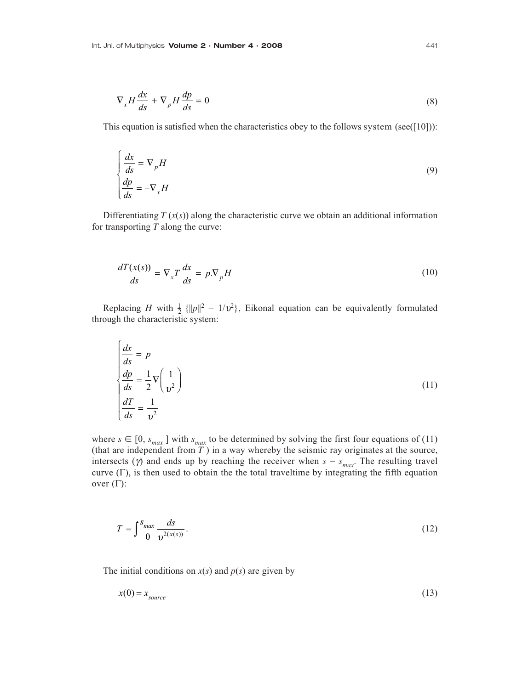$$
\nabla_x H \frac{dx}{ds} + \nabla_p H \frac{dp}{ds} = 0
$$
\n(8)

This equation is satisfied when the characteristics obey to the follows system (see([10])):

$$
\begin{cases}\n\frac{dx}{ds} = \nabla_p H \\
\frac{dp}{ds} = -\nabla_x H\n\end{cases}
$$
\n(9)

Differentiating  $T(x(s))$  along the characteristic curve we obtain an additional information for transporting *T* along the curve:

$$
\frac{dT(x(s))}{ds} = \nabla_x T \frac{dx}{ds} = p \cdot \nabla_p H \tag{10}
$$

Replacing *H* with  $\frac{1}{2}$  { $||p||^2 - 1/\nu^2$ }, Eikonal equation can be equivalently formulated through the characteristic system:

$$
\begin{cases}\n\frac{dx}{ds} = p \\
\frac{dp}{ds} = \frac{1}{2} \nabla \left( \frac{1}{v^2} \right) \\
\frac{dT}{ds} = \frac{1}{v^2}\n\end{cases}
$$
\n(11)

where  $s \in [0, s_{max}]$  with  $s_{max}$  to be determined by solving the first four equations of (11) (that are independent from *T* ) in a way whereby the seismic ray originates at the source, intersects ( $\gamma$ ) and ends up by reaching the receiver when  $s = s_{max}$ . The resulting travel curve  $(Γ)$ , is then used to obtain the the total traveltime by integrating the fifth equation over  $(\Gamma)$ :

$$
T = \int_{0}^{S_{max}} \frac{ds}{v^{2(x(s))}}.
$$
\n(12)

The initial conditions on  $x(s)$  and  $p(s)$  are given by

$$
x(0) = x_{source} \tag{13}
$$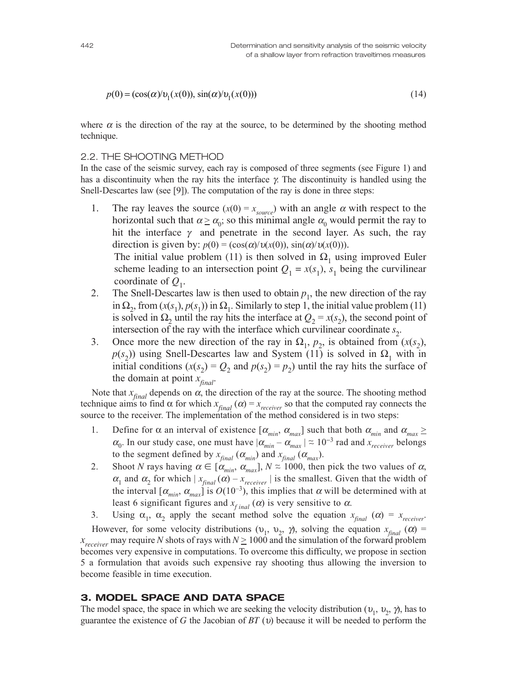$$
p(0) = (\cos(\alpha) / \nu_1(x(0)), \sin(\alpha) / \nu_1(x(0)))
$$
\n(14)

where  $\alpha$  is the direction of the ray at the source, to be determined by the shooting method technique.

## 2.2. THE SHOOTING METHOD

In the case of the seismic survey, each ray is composed of three segments (see Figure 1) and has a discontinuity when the ray hits the interface  $\gamma$ . The discontinuity is handled using the Snell-Descartes law (see [9]). The computation of the ray is done in three steps:

1. The ray leaves the source  $(x(0) = x_{source}$  with an angle  $\alpha$  with respect to the horizontal such that  $\alpha \ge \alpha_0$ ; so this minimal angle  $\alpha_0$  would permit the ray to hit the interface  $\gamma$  and penetrate in the second layer. As such, the ray direction is given by:  $p(0) = (\cos(\alpha)/\upsilon(x(0)), \sin(\alpha)/\upsilon(x(0))).$ 

The initial value problem (11) is then solved in  $\Omega_1$  using improved Euler scheme leading to an intersection point  $Q_1 = x(s_1)$ ,  $s_1$  being the curvilinear coordinate of  $Q_1$ .

- 2. The Snell-Descartes law is then used to obtain  $p_1$ , the new direction of the ray in  $\Omega_2$ , from  $(x(s_1), p(s_1))$  in  $\Omega_1$ . Similarly to step 1, the initial value problem (11) is solved in  $\Omega_2$  until the ray hits the interface at  $Q_2 = x(s_2)$ , the second point of intersection of the ray with the interface which curvilinear coordinate  $s_2$ .
- 3. Once more the new direction of the ray in  $\Omega_1$ ,  $p_2$ , is obtained from  $(x(s_2))$ ,  $p(s_2)$ ) using Snell-Descartes law and System (11) is solved in  $\Omega_1$  with in initial conditions  $(x(s_2) = Q_2$  and  $p(s_2) = p_2$ ) until the ray hits the surface of the domain at point  $x_{\text{final}}$ .

Note that  $x_{final}$  depends on  $\alpha$ , the direction of the ray at the source. The shooting method technique aims to find  $\alpha$  for which  $x_{final}(\alpha) = x_{receiver}$  so that the computed ray connects the source to the receiver. The implementation of the method considered is in two steps:

- 1. Define for  $\alpha$  an interval of existence  $[\alpha_{min}, \alpha_{max}]$  such that both  $\alpha_{min}$  and  $\alpha_{max} \ge$  $\alpha_0$ . In our study case, one must have  $|\alpha_{min} - \alpha_{max}| \approx 10^{-3}$  rad and  $x_{receiver}$  belongs to the segment defined by  $x_{final}$  ( $\alpha_{min}$ ) and  $x_{final}$  ( $\alpha_{max}$ ).
- 2. Shoot *N* rays having  $\alpha \in [\alpha_{min}, \alpha_{max}]$ ,  $N \approx 1000$ , then pick the two values of  $\alpha$ ,  $\alpha_1$  and  $\alpha_2$  for which  $|x_{final}(\alpha) - x_{receiver}|$  is the smallest. Given that the width of the interval  $[\alpha_{min}, \alpha_{max}]$  is  $O(10^{-3})$ , this implies that  $\alpha$  will be determined with at least 6 significant figures and  $x_{final}(\alpha)$  is very sensitive to  $\alpha$ .

3. Using  $\alpha_1$ ,  $\alpha_2$  apply the secant method solve the equation  $x_{final}$  ( $\alpha$ ) =  $x_{receiver}$ .

However, for some velocity distributions ( $v_1$ ,  $v_2$ ,  $\gamma$ ), solving the equation  $x_{\text{final}}$  ( $\alpha$ ) =  $x_{recovery}$  may require *N* shots of rays with  $N \ge 1000$  and the simulation of the forward problem becomes very expensive in computations. To overcome this difficulty, we propose in section 5 a formulation that avoids such expensive ray shooting thus allowing the inversion to become feasible in time execution.

## **3. MODEL SPACE AND DATA SPACE**

The model space, the space in which we are seeking the velocity distribution ( $v_1, v_2, \gamma$ ), has to guarantee the existence of *G* the Jacobian of *BT* (υ) because it will be needed to perform the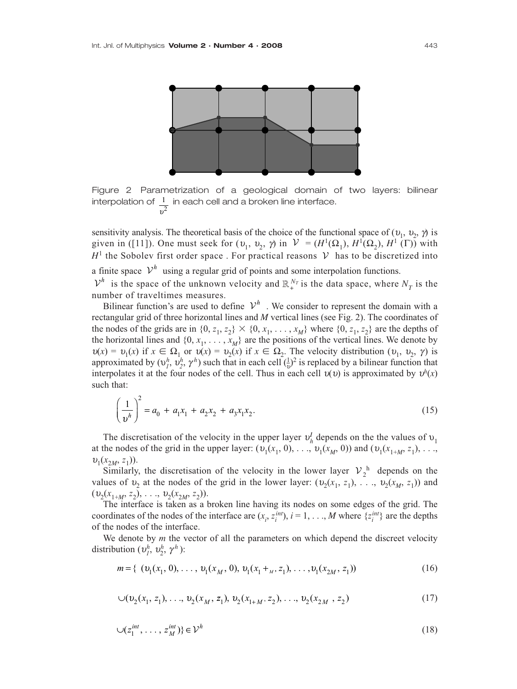

Figure 2 Parametrization of a geological domain of two layers: bilinear interpolation of  $1\overline{\phantom{1}}$  in each cell and a broken line interface.  $v^2$ 

sensitivity analysis. The theoretical basis of the choice of the functional space of  $(v_1, v_2, \gamma)$  is given in ([11]). One must seek for  $(v_1, v_2, \gamma)$  in  $\mathcal{V} = (H^1(\Omega_1), H^1(\Omega_2), H^1(\Gamma))$  with  $H<sup>1</sup>$  the Sobolev first order space. For practical reasons  $V$  has to be discretized into a finite space  $V^h$  using a regular grid of points and some interpolation functions.  $\mathcal{V}^h$  is the space of the unknown velocity and  $\mathbb{R}^{N_T}_+$  is the data space, where  $N_T$  is the number of traveltimes measures.

Bilinear function's are used to define  $V^h$ . We consider to represent the domain with a rectangular grid of three horizontal lines and *M* vertical lines (see Fig. 2). The coordinates of the nodes of the grids are in  $\{0, z_1, z_2\} \times \{0, x_1, \ldots, x_M\}$  where  $\{0, z_1, z_2\}$  are the depths of the horizontal lines and  $\{0, x_1, \ldots, x_M\}$  are the positions of the vertical lines. We denote by  $u(x) = v_1(x)$  if  $x \in \Omega_1$  or  $v(x) = v_2(x)$  if  $x \in \Omega_2$ . The velocity distribution  $(v_1, v_2, \gamma)$  is approximated by  $(v_1^h, v_2^h, \gamma^h)$  such that in each cell  $(\frac{1}{v})^2$  is replaced by a bilinear function that interpolates it at the four nodes of the cell. Thus in each cell  $v(v)$  is approximated by  $v^h(x)$ such that:

$$
\left(\frac{1}{v^h}\right)^2 = a_0 + a_1 x_1 + a_2 x_2 + a_3 x_1 x_2.
$$
\n(15)

The discretisation of the velocity in the upper layer  $v_h^I$  depends on the the values of  $v_1$ at the nodes of the grid in the upper layer:  $(v_1(x_1, 0), \ldots, v_1(x_M, 0))$  and  $(v_1(x_{1+M}, z_1), \ldots, v_M(x_M, 0))$  $v_1(x_{2M}, z_1)$ .

Similarly, the discretisation of the velocity in the lower layer  $V_2^h$  depends on the values of  $v_2$  at the nodes of the grid in the lower layer:  $(v_2(x_1, z_1), \ldots, v_2(x_M, z_1))$  and  $(v_2(x_{1+M}, z_2), \ldots, v_2(x_{2M}, z_2)).$ 

The interface is taken as a broken line having its nodes on some edges of the grid. The coordinates of the nodes of the interface are  $(x_i, z_i^{int})$ ,  $i = 1, ..., M$  where  $\{z_i^{int}\}$  are the depths of the nodes of the interface.

We denote by *m* the vector of all the parameters on which depend the discreet velocity distribution  $(v_1^h, v_2^h, \gamma^h)$ :

$$
m = \{ (v_1(x_1, 0), \dots, v_1(x_M, 0), v_1(x_1 +_M, z_1), \dots, v_1(x_{2M}, z_1))
$$
 (16)

$$
\cup (v_2(x_1, z_1), \dots, v_2(x_M, z_1), v_2(x_{1+M}, z_2), \dots, v_2(x_{2M}, z_2)
$$
\n(17)

$$
\bigcup (z_1^{int}, \dots, z_M^{int}) \} \in \mathcal{V}^h \tag{18}
$$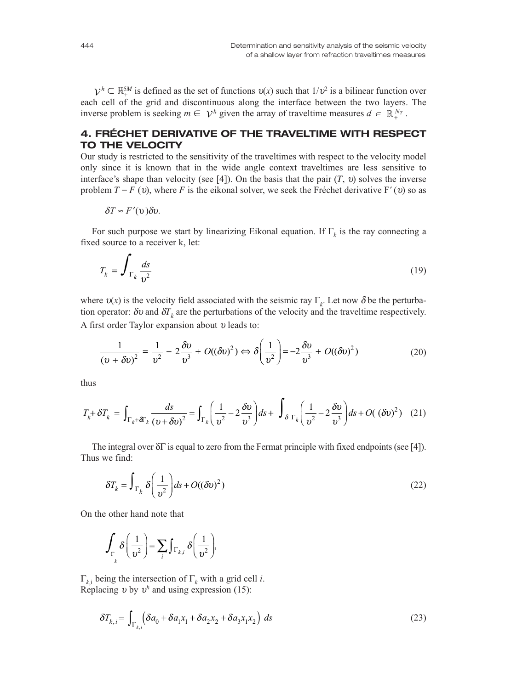$\mathcal{V}^h \subset \mathbb{R}_+^{5M}$  is defined as the set of functions  $v(x)$  such that  $1/v^2$  is a bilinear function over each cell of the grid and discontinuous along the interface between the two layers. The inverse problem is seeking  $m \in \mathcal{V}^h$  given the array of traveltime measures  $d \in \mathbb{R}_+^{N_T}$ .

# **4. FRÉCHET DERIVATIVE OF THE TRAVELTIME WITH RESPECT TO THE VELOCITY**

Our study is restricted to the sensitivity of the traveltimes with respect to the velocity model only since it is known that in the wide angle context traveltimes are less sensitive to interface's shape than velocity (see [4]). On the basis that the pair  $(T, v)$  solves the inverse problem  $T = F(v)$ , where *F* is the eikonal solver, we seek the Fréchet derivative F' (υ) so as

$$
\delta T \approx F'(\nu) \delta \nu.
$$

For such purpose we start by linearizing Eikonal equation. If  $\Gamma_k$  is the ray connecting a fixed source to a receiver k, let:

$$
T_k = \int_{\Gamma_k} \frac{ds}{v^2} \tag{19}
$$

where  $v(x)$  is the velocity field associated with the seismic ray  $\Gamma_k$ . Let now  $\delta$  be the perturbation operator:  $\delta v$  and  $\delta T_k$  are the perturbations of the velocity and the traveltime respectively. A first order Taylor expansion about <sup>υ</sup> leads to:

$$
\frac{1}{(v+\delta v)^2} = \frac{1}{v^2} - 2\frac{\delta v}{v^3} + O((\delta v)^2) \Leftrightarrow \delta\left(\frac{1}{v^2}\right) = -2\frac{\delta v}{v^3} + O((\delta v)^2)
$$
\n(20)

 $\ddot{\phantom{a}}$ 

thus

$$
T_k + \delta T_k = \int_{\Gamma_k + \delta \Gamma_k} \frac{ds}{(v + \delta v)^2} = \int_{\Gamma_k} \left( \frac{1}{v^2} - 2 \frac{\delta v}{v^3} \right) ds + \int_{\delta \Gamma_k} \left( \frac{1}{v^2} - 2 \frac{\delta v}{v^3} \right) ds + O(\left( \delta v \right)^2) \tag{21}
$$

The integral over δΓ is equal to zero from the Fermat principle with fixed endpoints (see [4]). Thus we find:

$$
\delta T_k = \int_{\Gamma_k} \delta \left( \frac{1}{v^2} \right) ds + O((\delta v)^2)
$$
\n(22)

On the other hand note that

$$
\int_{\Gamma_{k}} \delta\left(\frac{1}{v^2}\right) = \sum_{i} \int_{\Gamma_{k,i}} \delta\left(\frac{1}{v^2}\right),
$$

 $Γ_{k,i}$  being the intersection of  $Γ_k$  with a grid cell *i*. Replacing  $v$  by  $v^h$  and using expression (15):

$$
\delta T_{k,i} = \int_{\Gamma_{k,i}} \left( \delta a_0 + \delta a_1 x_1 + \delta a_2 x_2 + \delta a_3 x_1 x_2 \right) ds \tag{23}
$$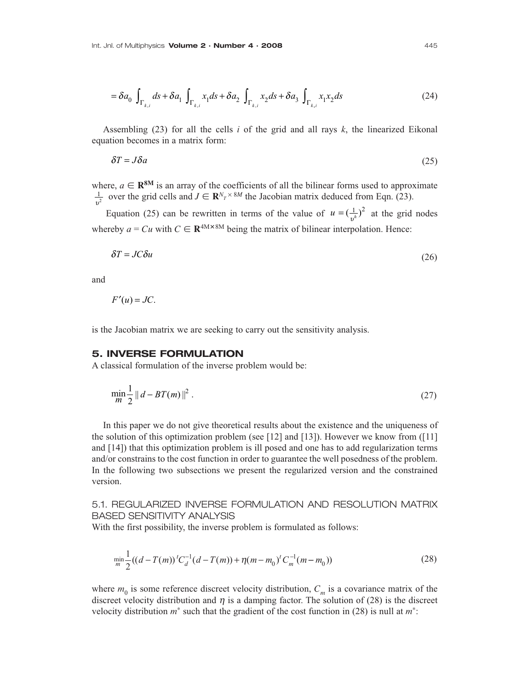$$
= \delta a_0 \int_{\Gamma_{k,i}} ds + \delta a_1 \int_{\Gamma_{k,i}} x_1 ds + \delta a_2 \int_{\Gamma_{k,i}} x_2 ds + \delta a_3 \int_{\Gamma_{k,i}} x_1 x_2 ds \tag{24}
$$

Assembling (23) for all the cells *i* of the grid and all rays *k*, the linearized Eikonal equation becomes in a matrix form:

$$
\delta T = J \delta a \tag{25}
$$

where,  $a \in \mathbb{R}^{8M}$  is an array of the coefficients of all the bilinear forms used to approximate  $\frac{1}{v^2}$  over the grid cells and  $J \in \mathbb{R}^{N_T \times 8M}$  the Jacobian matrix deduced from Eqn. (23).

Equation (25) can be rewritten in terms of the value of  $u = (\frac{1}{v^h})^2$  at the grid nodes whereby  $a = Cu$  with  $C \in \mathbb{R}^{4M \times 8M}$  being the matrix of bilinear interpolation. Hence:

$$
\delta T = JC \delta u \tag{26}
$$

and

$$
F'(u) = JC.
$$

is the Jacobian matrix we are seeking to carry out the sensitivity analysis.

## **5. INVERSE FORMULATION**

A classical formulation of the inverse problem would be:

$$
\min_{m} \frac{1}{2} ||d - BT(m)||^2 \,. \tag{27}
$$

In this paper we do not give theoretical results about the existence and the uniqueness of the solution of this optimization problem (see [12] and [13]). However we know from ([11] and [14]) that this optimization problem is ill posed and one has to add regularization terms and/or constrains to the cost function in order to guarantee the well posedness of the problem. In the following two subsections we present the regularized version and the constrained version.

5.1. REGULARIZED INVERSE FORMULATION AND RESOLUTION MATRIX BASED SENSITIVITY ANALYSIS

With the first possibility, the inverse problem is formulated as follows:

$$
\min_{m} \frac{1}{2} ((d - T(m)) {}^{t}C_{d}^{-1}(d - T(m)) + \eta(m - m_{0}) {}^{t}C_{m}^{-1}(m - m_{0}))
$$
\n(28)

where  $m_0$  is some reference discreet velocity distribution,  $C_m$  is a covariance matrix of the discreet velocity distribution and  $\eta$  is a damping factor. The solution of (28) is the discreet velocity distribution *m*<sup>∗</sup> such that the gradient of the cost function in (28) is null at *m*<sup>∗</sup>: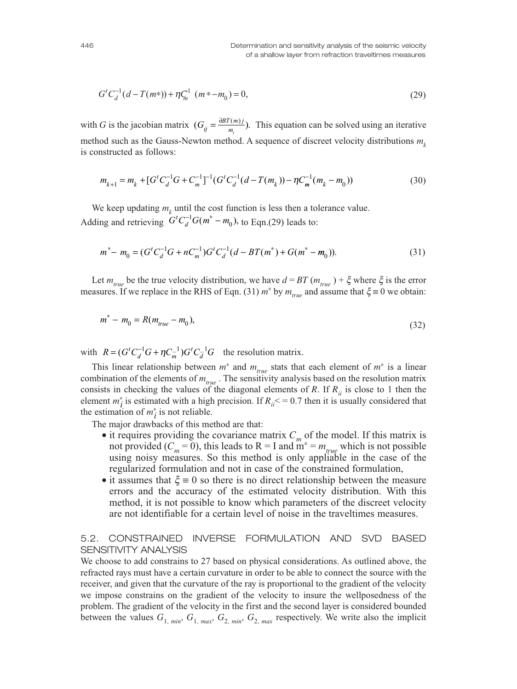$$
Gt Cd-1 (d - T(m*)) + \eta Cm-1 (m* - m0) = 0,
$$
\n(29)

with *G* is the jacobian matrix  $(G_{ij} = \frac{\partial B T(m) j}{m} )$ . This equation can be solved using an iterative method such as the Gauss-Newton method. A sequence of discreet velocity distributions  $m_k$ is constructed as follows:  $=\frac{\partial BT(i)}{m_i}$ 

$$
m_{k+1} = m_k + [G^t C_d^{-1} G + C_m^{-1}]^{-1} (G^t C_d^{-1} (d - T(m_k)) - \eta C_m^{-1} (m_k - m_0))
$$
\n(30)

We keep updating  $m_k$  until the cost function is less then a tolerance value. Adding and retrieving  $G^t C_d^{-1} G(m^* - m_0)$ , to Eqn.(29) leads to:

$$
m^* - m_0 = (G^t C_d^{-1} G + n C_m^{-1}) G^t C_d^{-1} (d - B T(m^*) + G(m^* - m_0)).
$$
\n(31)

Let  $m_{true}$  be the true velocity distribution, we have  $d = BT (m_{true}) + \xi$  where  $\xi$  is the error measures. If we replace in the RHS of Eqn. (31)  $m^*$  by  $m_{true}$  and assume that  $\xi \equiv 0$  we obtain:

$$
m^* - m_0 = R(m_{true} - m_0),
$$
\n(32)

with  $R = (G^t C_d^{-1} G + \eta C_m^{-1}) G^t C_d^{-1} G$  the resolution matrix.  $=(G^t C_d^{-1} G + \eta C_m^{-1}) G^t C_d^{-1}$ 

This linear relationship between  $m^*$  and  $m_{true}$  stats that each element of  $m^*$  is a linear combination of the elements of  $m_{true}$ . The sensitivity analysis based on the resolution matrix consists in checking the values of the diagonal elements of *R*. If  $R_{ii}$  is close to 1 then the element  $m_i^*$  is estimated with a high precision. If  $R_i \le 0.7$  then it is usually considered that the estimation of  $m^*$ <sub>i</sub> is not reliable.

The major drawbacks of this method are that:

- it requires providing the covariance matrix  $C_m$  of the model. If this matrix is not provided ( $C_m = 0$ ), this leads to R = I and  $m^* = m_{true}$  which is not possible using noisy measures. So this method is only appliable in the case of the regularized formulation and not in case of the constrained formulation,
- it assumes that  $\xi = 0$  so there is no direct relationship between the measure errors and the accuracy of the estimated velocity distribution. With this method, it is not possible to know which parameters of the discreet velocity are not identifiable for a certain level of noise in the traveltimes measures.

# 5.2. CONSTRAINED INVERSE FORMULATION AND SVD BASED SENSITIVITY ANALYSIS

We choose to add constrains to 27 based on physical considerations. As outlined above, the refracted rays must have a certain curvature in order to be able to connect the source with the receiver, and given that the curvature of the ray is proportional to the gradient of the velocity we impose constrains on the gradient of the velocity to insure the wellposedness of the problem. The gradient of the velocity in the first and the second layer is considered bounded between the values  $G_{1, min}$ ,  $G_{1, max}$ ,  $G_{2, min}$ ,  $G_{2, max}$  respectively. We write also the implicit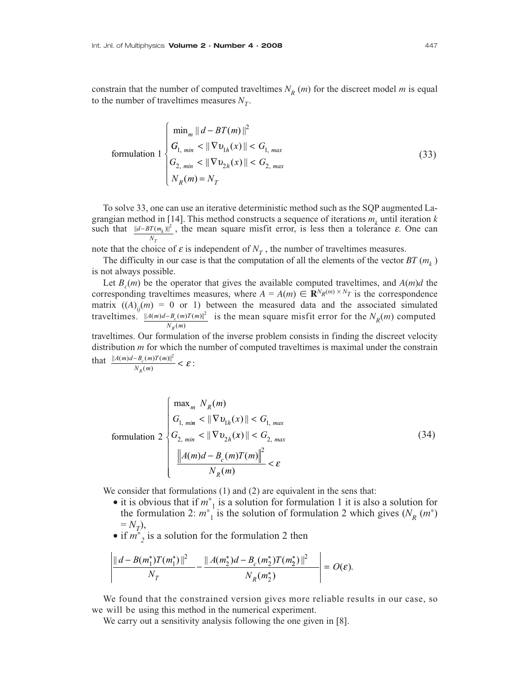formula  
to 
$$
1 \begin{cases} \min_{m} \|d - BT(m)\|^{2} \\ G_{1, min} < \|\nabla v_{1h}(x)\| < G_{1, max} \\ G_{2, min} < \|\nabla v_{2h}(x)\| < G_{2, max} \\ N_{R}(m) = N_{T} \end{cases}
$$
 (33)

To solve 33, one can use an iterative deterministic method such as the SQP augmented Lagrangian method in [14]. This method constructs a sequence of iterations  $m_k$  until iteration  $k$ such that  $||d-BT(m_k)||^2$ , the mean square misfit error, is less then a tolerance  $\varepsilon$ . One can *N*

note that the choice of  $\varepsilon$  is independent of  $N_T$ , the number of traveltimes measures.

The difficulty in our case is that the computation of all the elements of the vector  $BT(m_k)$ is not always possible.

Let  $B_c(m)$  be the operator that gives the available computed traveltimes, and  $A(m)d$  the corresponding traveltimes measures, where  $A = A(m) \in \mathbb{R}^{N_R(m) \times N_T}$  is the correspondence matrix  $((A)_{ii}(m) = 0$  or 1) between the measured data and the associated simulated traveltimes.  $||A(m)d - B_c(m)T(m)||^2$  is the mean square misfit error for the  $N_R(m)$  computed  $N_R(m)$ 

traveltimes. Our formulation of the inverse problem consists in finding the discreet velocity distribution *m* for which the number of computed traveltimes is maximal under the constrain that  $\frac{\|A(m)d - B_c(m)T(m)\|^2}{N_p(m)} < \varepsilon$ :  $\frac{D_c(n)}{N_p(m)}$  $\frac{-B_c(m)T(m)|^2}{N_R(m)} < \varepsilon$ 

$$
\overline{f} = \overline{f} \cdot \overline{f} \cdot \overline{f} \cdot \overline{f}
$$

formula  
\ntormutation 2\n
$$
\begin{cases}\n\max_{m} N_{R}(m) \\
G_{1, min} < ||\nabla v_{1h}(x)|| < G_{1, max} \\
G_{2, min} < ||\nabla v_{2h}(x)|| < G_{2, max} \\
\frac{||A(m)d - B_{c}(m)T(m)||^{2}}{N_{R}(m)} < \varepsilon\n\end{cases}
$$
\n(34)

We consider that formulations (1) and (2) are equivalent in the sens that:

- it is obvious that if *m*<sup>∗</sup> <sup>1</sup> is a solution for formulation 1 it is also a solution for the formulation 2:  $m^*$ <sup>1</sup> is the solution of formulation 2 which gives ( $N_R$  ( $m^*$ )  $=N_T$ ),
- if *m*<sup>∗</sup> *<sup>2</sup>* is a solution for the formulation 2 then

$$
\left| \frac{\| d - B(m_1^*)T(m_1^*) \|^2}{N_T} - \frac{\| A(m_2^*)d - B_c(m_2^*)T(m_2^*) \|^2}{N_R(m_2^*)} \right| = O(\varepsilon).
$$

We found that the constrained version gives more reliable results in our case, so we will be using this method in the numerical experiment.

We carry out a sensitivity analysis following the one given in [8].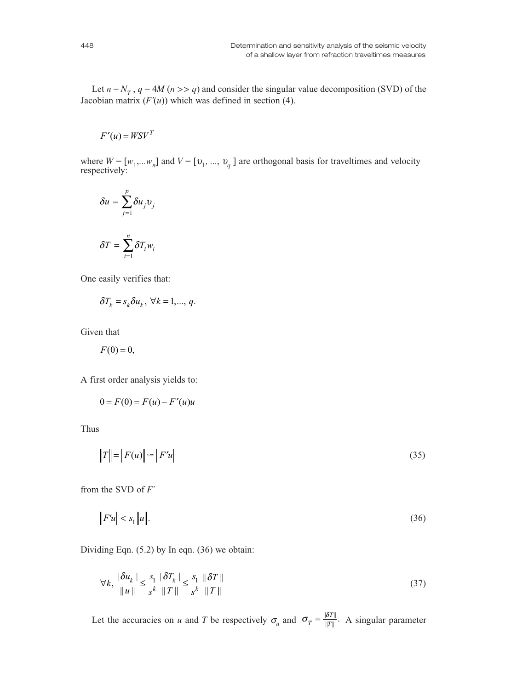Let  $n = N_T$ ,  $q = 4M$  ( $n >> q$ ) and consider the singular value decomposition (SVD) of the Jacobian matrix  $(F'(u))$  which was defined in section (4).

$$
F'(u) = W S V^T
$$

where  $W = [w_1, \ldots, w_n]$  and  $V = [v_1, \ldots, v_q]$  are orthogonal basis for traveltimes and velocity respectively:

$$
\delta u = \sum_{j=1}^{p} \delta u_j v_j
$$

$$
\delta T = \sum_{i=1}^{n} \delta T_i w_i
$$

One easily verifies that:

$$
\delta T_k = s_k \delta u_k, \ \forall k = 1, ..., q.
$$

Given that

 $F(0) = 0$ ,

A first order analysis yields to:

$$
0 = F(0) = F(u) - F'(u)u
$$

Thus

$$
||T|| = ||F(u)|| \approx ||F'u|| \tag{35}
$$

from the SVD of *F'*

$$
\|F'u\| < s_1\|u\|.\tag{36}
$$

Dividing Eqn. (5.2) by In eqn. (36) we obtain:

$$
\forall k, \frac{\left|\delta u_k\right|}{\|u\|} \le \frac{s_1}{s^k} \frac{\left|\delta T_k\right|}{\|T\|} \le \frac{s_1}{s^k} \frac{\left\|\delta T\right\|}{\|T\|} \tag{37}
$$

Let the accuracies on *u* and *T* be respectively  $\sigma_u$  and  $\sigma_T = \frac{\|\delta T\|}{\|T\|}$ . A singular parameter  $=\frac{||\delta T||}{||T||}.$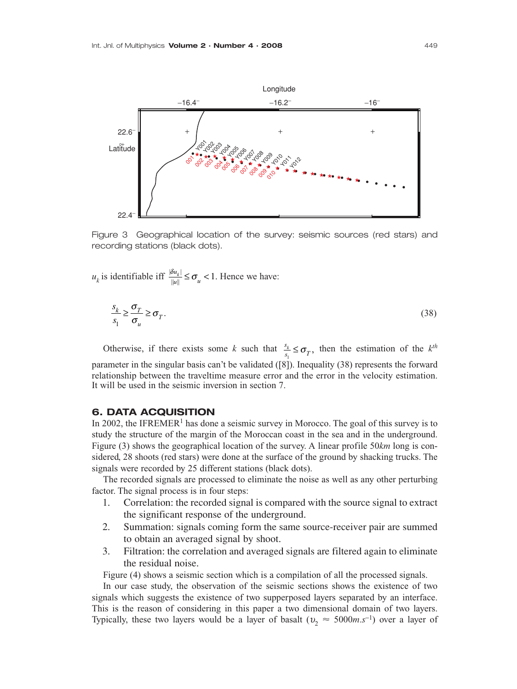

Figure 3 Geographical location of the survey: seismic sources (red stars) and recording stations (black dots).

 $u_k$  is identifiable iff  $\frac{|\delta u_k|}{||u||} \le \sigma_u < 1$ . Hence we have:

$$
\frac{s_k}{s_1} \ge \frac{\sigma_T}{\sigma_u} \ge \sigma_T. \tag{38}
$$

Otherwise, if there exists some *k* such that  $\frac{s_k}{s} \leq \sigma_r$ , then the estimation of the *k*<sup>th</sup> parameter in the singular basis can't be validated ([8]). Inequality (38) represents the forward relationship between the traveltime measure error and the error in the velocity estimation. It will be used in the seismic inversion in section 7.  $\frac{s_k}{s_1} \leq \sigma$ <sub>*T*</sub>  $\frac{k}{n} \leq \sigma_T$ ,

## **6. DATA ACQUISITION**

In 2002, the IFREMER<sup>1</sup> has done a seismic survey in Morocco. The goal of this survey is to study the structure of the margin of the Moroccan coast in the sea and in the underground. Figure (3) shows the geographical location of the survey. A linear profile 50*km* long is considered, 28 shoots (red stars) were done at the surface of the ground by shacking trucks. The signals were recorded by 25 different stations (black dots).

The recorded signals are processed to eliminate the noise as well as any other perturbing factor. The signal process is in four steps:

- 1. Correlation: the recorded signal is compared with the source signal to extract the significant response of the underground.
- 2. Summation: signals coming form the same source-receiver pair are summed to obtain an averaged signal by shoot.
- 3. Filtration: the correlation and averaged signals are filtered again to eliminate the residual noise.

Figure (4) shows a seismic section which is a compilation of all the processed signals.

In our case study, the observation of the seismic sections shows the existence of two signals which suggests the existence of two supperposed layers separated by an interface. This is the reason of considering in this paper a two dimensional domain of two layers. Typically, these two layers would be a layer of basalt ( $v_2 \approx 5000$  m.s<sup>-1</sup>) over a layer of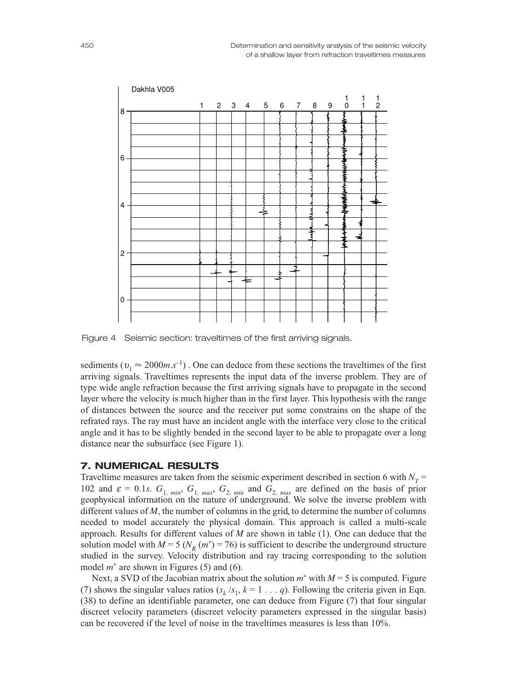

Figure 4 Seismic section: traveltimes of the first arriving signals.

sediments ( $v_1 \approx 2000$ *m.s*<sup>-1</sup>). One can deduce from these sections the traveltimes of the first arriving signals. Traveltimes represents the input data of the inverse problem. They are of type wide angle refraction because the first arriving signals have to propagate in the second layer where the velocity is much higher than in the first layer. This hypothesis with the range of distances between the source and the receiver put some constrains on the shape of the refrated rays. The ray must have an incident angle with the interface very close to the critical angle and it has to be slightly bended in the second layer to be able to propagate over a long distance near the subsurface (see Figure 1).

## **7. NUMERICAL RESULTS**

Traveltime measures are taken from the seismic experiment described in section 6 with  $N_T$  = 102 and  $\varepsilon = 0.1s$ .  $G_{1, min}$ ,  $G_{1, max}$ ,  $G_{2, min}$  and  $G_{2, max}$  are defined on the basis of prior geophysical information on the nature of underground. We solve the inverse problem with different values of *M*, the number of columns in the grid, to determine the number of columns needed to model accurately the physical domain. This approach is called a multi-scale approach. Results for different values of *M* are shown in table (1). One can deduce that the solution model with  $M = 5$  ( $N_p(m^*) = 76$ ) is sufficient to describe the underground structure studied in the survey. Velocity distribution and ray tracing corresponding to the solution model *m*<sup>∗</sup> are shown in Figures (5) and (6).

Next, a SVD of the Jacobian matrix about the solution *m*<sup>∗</sup> with *M* = 5 is computed. Figure (7) shows the singular values ratios  $(s_k / s_1, k = 1 \ldots q)$ . Following the criteria given in Eqn. (38) to define an identifiable parameter, one can deduce from Figure (7) that four singular discreet velocity parameters (discreet velocity parameters expressed in the singular basis) can be recovered if the level of noise in the traveltimes measures is less than 10%.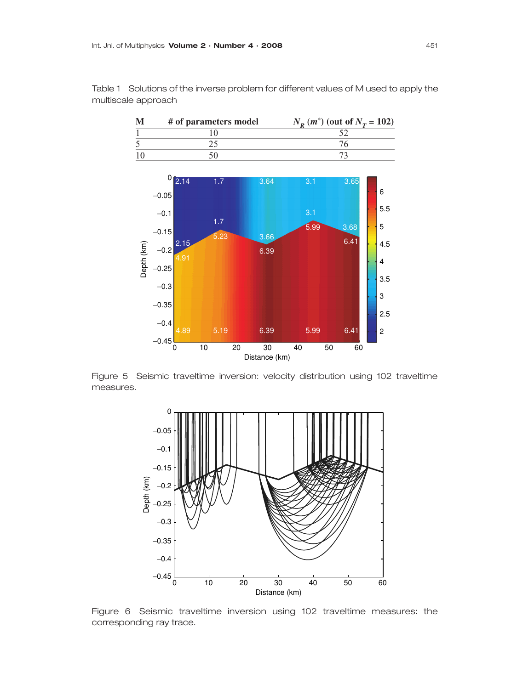

Table 1 Solutions of the inverse problem for different values of M used to apply the multiscale approach

Figure 5 Seismic traveltime inversion: velocity distribution using 102 traveltime measures.



Figure 6 Seismic traveltime inversion using 102 traveltime measures: the corresponding ray trace.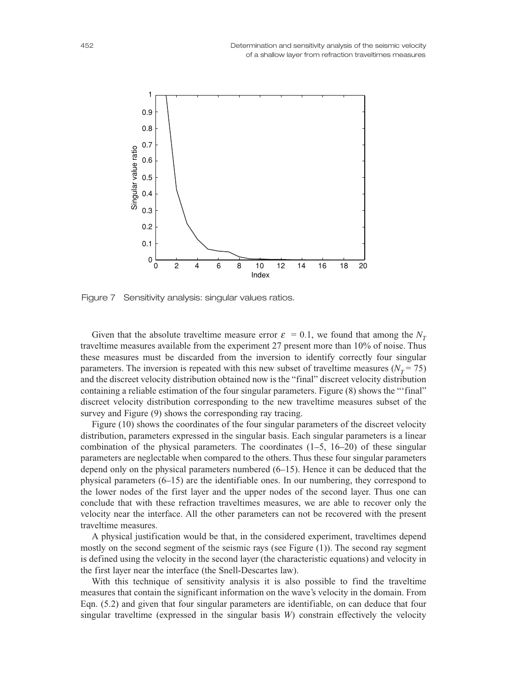

Figure 7 Sensitivity analysis: singular values ratios.

Given that the absolute traveltime measure error  $\varepsilon = 0.1$ , we found that among the  $N_T$ traveltime measures available from the experiment 27 present more than 10% of noise. Thus these measures must be discarded from the inversion to identify correctly four singular parameters. The inversion is repeated with this new subset of traveltime measures ( $N_T$  = 75) and the discreet velocity distribution obtained now is the "final" discreet velocity distribution containing a reliable estimation of the four singular parameters. Figure (8) shows the "'final" discreet velocity distribution corresponding to the new traveltime measures subset of the survey and Figure  $(9)$  shows the corresponding ray tracing.

Figure (10) shows the coordinates of the four singular parameters of the discreet velocity distribution, parameters expressed in the singular basis. Each singular parameters is a linear combination of the physical parameters. The coordinates (1*–*5, 16*–*20) of these singular parameters are neglectable when compared to the others. Thus these four singular parameters depend only on the physical parameters numbered (6*–*15). Hence it can be deduced that the physical parameters (6*–*15) are the identifiable ones. In our numbering, they correspond to the lower nodes of the first layer and the upper nodes of the second layer. Thus one can conclude that with these refraction traveltimes measures, we are able to recover only the velocity near the interface. All the other parameters can not be recovered with the present traveltime measures.

A physical justification would be that, in the considered experiment, traveltimes depend mostly on the second segment of the seismic rays (see Figure (1)). The second ray segment is defined using the velocity in the second layer (the characteristic equations) and velocity in the first layer near the interface (the Snell-Descartes law).

With this technique of sensitivity analysis it is also possible to find the traveltime measures that contain the significant information on the wave's velocity in the domain. From Eqn. (5.2) and given that four singular parameters are identifiable, on can deduce that four singular traveltime (expressed in the singular basis *W*) constrain effectively the velocity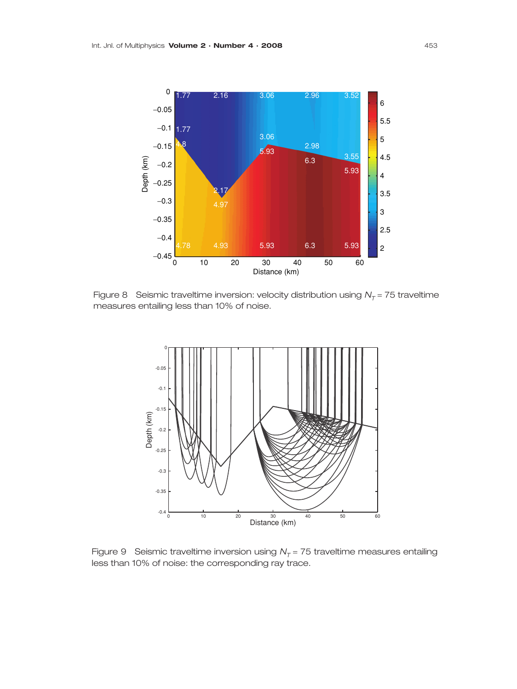

Figure 8 Seismic traveltime inversion: velocity distribution using  $N_T$  = 75 traveltime measures entailing less than 10% of noise.



Figure 9 Seismic traveltime inversion using  $N<sub>T</sub> = 75$  traveltime measures entailing less than 10% of noise: the corresponding ray trace.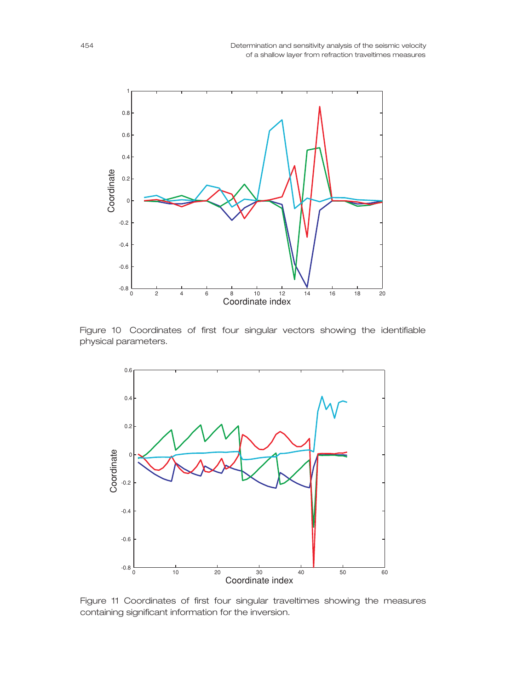

Figure 10 Coordinates of first four singular vectors showing the identifiable physical parameters.



Figure 11 Coordinates of first four singular traveltimes showing the measures containing significant information for the inversion.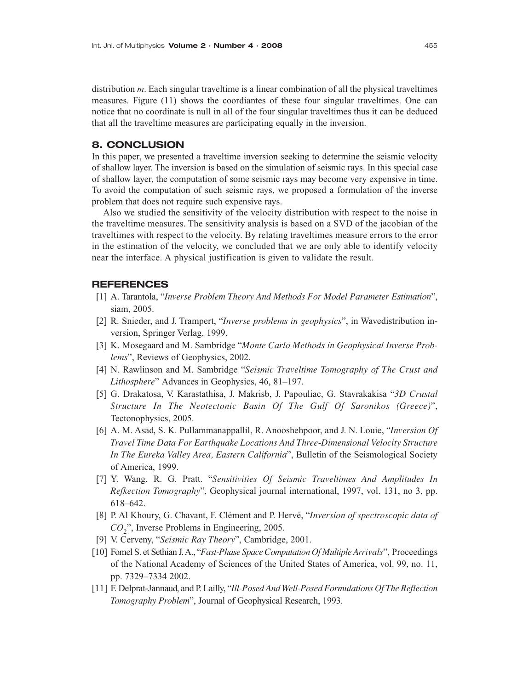distribution *m*. Each singular traveltime is a linear combination of all the physical traveltimes measures. Figure (11) shows the coordiantes of these four singular traveltimes. One can notice that no coordinate is null in all of the four singular traveltimes thus it can be deduced that all the traveltime measures are participating equally in the inversion.

## **8. CONCLUSION**

In this paper, we presented a traveltime inversion seeking to determine the seismic velocity of shallow layer. The inversion is based on the simulation of seismic rays. In this special case of shallow layer, the computation of some seismic rays may become very expensive in time. To avoid the computation of such seismic rays, we proposed a formulation of the inverse problem that does not require such expensive rays.

Also we studied the sensitivity of the velocity distribution with respect to the noise in the traveltime measures. The sensitivity analysis is based on a SVD of the jacobian of the traveltimes with respect to the velocity. By relating traveltimes measure errors to the error in the estimation of the velocity, we concluded that we are only able to identify velocity near the interface. A physical justification is given to validate the result.

## **REFERENCES**

- [1] A. Tarantola, "*Inverse Problem Theory And Methods For Model Parameter Estimation*", siam, 2005.
- [2] R. Snieder, and J. Trampert, "*Inverse problems in geophysics*", in Wavedistribution inversion, Springer Verlag, 1999.
- [3] K. Mosegaard and M. Sambridge "*Monte Carlo Methods in Geophysical Inverse Problems*", Reviews of Geophysics, 2002.
- [4] N. Rawlinson and M. Sambridge "*Seismic Traveltime Tomography of The Crust and Lithosphere*" Advances in Geophysics, 46, 81–197.
- [5] G. Drakatosa, V. Karastathisa, J. Makrisb, J. Papouliac, G. Stavrakakisa "*3D Crustal Structure In The Neotectonic Basin Of The Gulf Of Saronikos (Greece)*", Tectonophysics, 2005.
- [6] A. M. Asad, S. K. Pullammanappallil, R. Anooshehpoor, and J. N. Louie, "*Inversion Of Travel Time Data For Earthquake Locations And Three-Dimensional Velocity Structure In The Eureka Valley Area, Eastern California*", Bulletin of the Seismological Society of America, 1999.
- [7] Y. Wang, R. G. Pratt. "*Sensitivities Of Seismic Traveltimes And Amplitudes In Refkection Tomography*", Geophysical journal international, 1997, vol. 131, no 3, pp. 618–642.
- [8] P. Al Khoury, G. Chavant, F. Clément and P. Hervé, "*Inversion of spectroscopic data of CO*2", Inverse Problems in Engineering, 2005.
- [9] V. Cerveny, "*Seismic Ray Theory*", Cambridge, 2001.
- [10] Fomel S. et Sethian J. A., "*Fast-Phase Space Computation Of Multiple Arrivals*", Proceedings of the National Academy of Sciences of the United States of America, vol. 99, no. 11, pp. 7329–7334 2002.
- [11] F. Delprat-Jannaud, and P. Lailly, "*Ill-Posed And Well-Posed Formulations Of The Reflection Tomography Problem*", Journal of Geophysical Research, 1993.